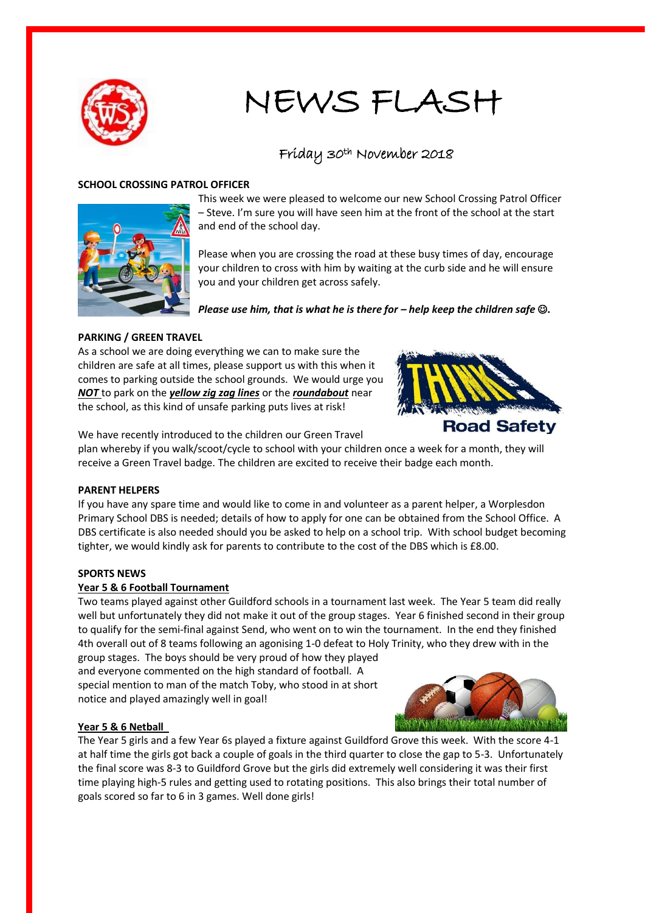

# NEWS FLASH

# Friday 30th November 2018

### **SCHOOL CROSSING PATROL OFFICER**



This week we were pleased to welcome our new School Crossing Patrol Officer – Steve. I'm sure you will have seen him at the front of the school at the start and end of the school day.

Please when you are crossing the road at these busy times of day, encourage your children to cross with him by waiting at the curb side and he will ensure you and your children get across safely.

*Please use him, that is what he is there for – help keep the children safe*  $\mathbb{Q}$ .

## **PARKING / GREEN TRAVEL**

As a school we are doing everything we can to make sure the children are safe at all times, please support us with this when it comes to parking outside the school grounds. We would urge you *NOT* to park on the *yellow zig zag lines* or the *roundabout* near the school, as this kind of unsafe parking puts lives at risk!



We have recently introduced to the children our Green Travel

plan whereby if you walk/scoot/cycle to school with your children once a week for a month, they will receive a Green Travel badge. The children are excited to receive their badge each month.

### **PARENT HELPERS**

If you have any spare time and would like to come in and volunteer as a parent helper, a Worplesdon Primary School DBS is needed; details of how to apply for one can be obtained from the School Office. A DBS certificate is also needed should you be asked to help on a school trip. With school budget becoming tighter, we would kindly ask for parents to contribute to the cost of the DBS which is £8.00.

### **SPORTS NEWS**

### **Year 5 & 6 Football Tournament**

Two teams played against other Guildford schools in a tournament last week. The Year 5 team did really well but unfortunately they did not make it out of the group stages. Year 6 finished second in their group to qualify for the semi-final against Send, who went on to win the tournament. In the end they finished 4th overall out of 8 teams following an agonising 1-0 defeat to Holy Trinity, who they drew with in the

group stages. The boys should be very proud of how they played and everyone commented on the high standard of football. A special mention to man of the match Toby, who stood in at short notice and played amazingly well in goal!



### **Year 5 & 6 Netball**

The Year 5 girls and a few Year 6s played a fixture against Guildford Grove this week. With the score 4-1 at half time the girls got back a couple of goals in the third quarter to close the gap to 5-3. Unfortunately the final score was 8-3 to Guildford Grove but the girls did extremely well considering it was their first time playing high-5 rules and getting used to rotating positions. This also brings their total number of goals scored so far to 6 in 3 games. Well done girls!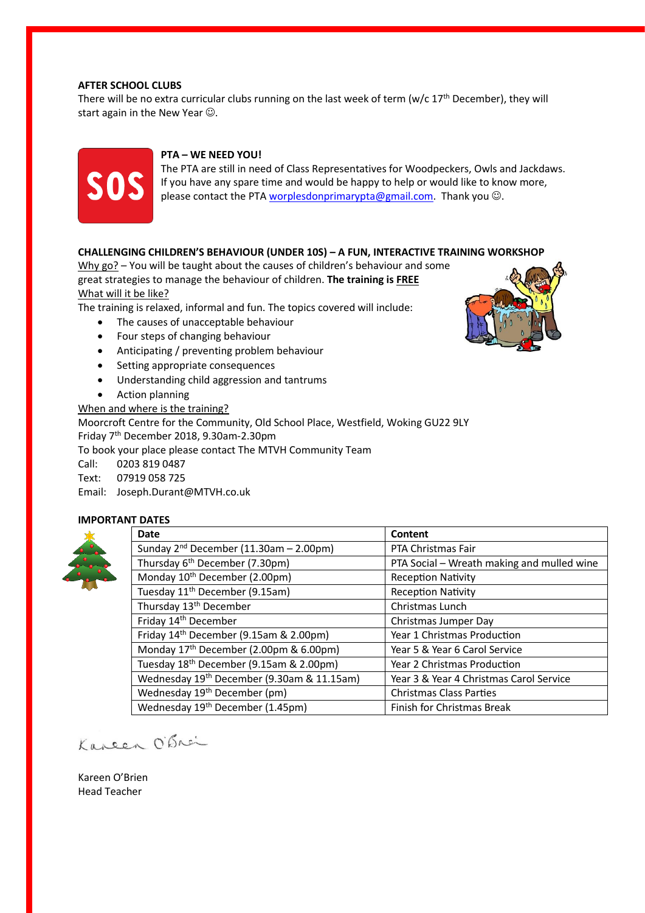#### **AFTER SCHOOL CLUBS**

There will be no extra curricular clubs running on the last week of term ( $w/c$  17<sup>th</sup> December), they will start again in the New Year  $\odot$ .



#### **PTA – WE NEED YOU!**

The PTA are still in need of Class Representatives for Woodpeckers, Owls and Jackdaws. If you have any spare time and would be happy to help or would like to know more, please contact the PT[A worplesdonprimarypta@gmail.com.](mailto:worplesdonprimarypta@gmail.com) Thank you  $\odot$ .

#### **CHALLENGING CHILDREN'S BEHAVIOUR (UNDER 10S) – A FUN, INTERACTIVE TRAINING WORKSHOP**

Why go? - You will be taught about the causes of children's behaviour and some great strategies to manage the behaviour of children. **The training is FREE** What will it be like?

The training is relaxed, informal and fun. The topics covered will include:

- The causes of unacceptable behaviour
- Four steps of changing behaviour
- Anticipating / preventing problem behaviour
- Setting appropriate consequences
- Understanding child aggression and tantrums
- Action planning

When and where is the training?

Moorcroft Centre for the Community, Old School Place, Westfield, Woking GU22 9LY Friday 7th December 2018, 9.30am-2.30pm

To book your place please contact The MTVH Community Team

Call: 0203 819 0487

Text: 07919 058 725

Email: Joseph.Durant@MTVH.co.uk

#### **IMPORTANT DATES**



| <b>Date</b>                                            | Content                                    |
|--------------------------------------------------------|--------------------------------------------|
| Sunday 2 <sup>nd</sup> December (11.30am - 2.00pm)     | PTA Christmas Fair                         |
| Thursday 6 <sup>th</sup> December (7.30pm)             | PTA Social - Wreath making and mulled wine |
| Monday 10 <sup>th</sup> December (2.00pm)              | <b>Reception Nativity</b>                  |
| Tuesday 11 <sup>th</sup> December (9.15am)             | <b>Reception Nativity</b>                  |
| Thursday 13 <sup>th</sup> December                     | Christmas Lunch                            |
| Friday 14 <sup>th</sup> December                       | Christmas Jumper Day                       |
| Friday 14 <sup>th</sup> December (9.15am & 2.00pm)     | Year 1 Christmas Production                |
| Monday 17 <sup>th</sup> December (2.00pm & 6.00pm)     | Year 5 & Year 6 Carol Service              |
| Tuesday 18 <sup>th</sup> December (9.15am & 2.00pm)    | Year 2 Christmas Production                |
| Wednesday 19 <sup>th</sup> December (9.30am & 11.15am) | Year 3 & Year 4 Christmas Carol Service    |
| Wednesday 19 <sup>th</sup> December (pm)               | <b>Christmas Class Parties</b>             |
| Wednesday 19 <sup>th</sup> December (1.45pm)           | Finish for Christmas Break                 |

Kareen O'Brei

Kareen O'Brien Head Teacher